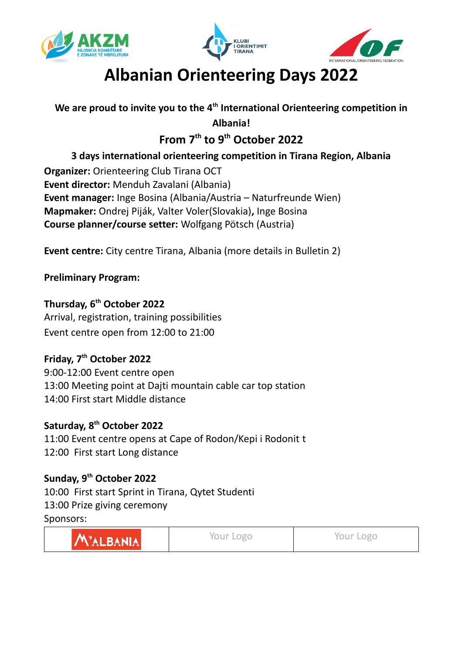





# **Albanian Orienteering Days 2022**

We are proud to invite you to the 4<sup>th</sup> International Orienteering competition in

**Albania!**

# **From 7 th to 9 th October 2022**

**3 days international orienteering competition in Tirana Region, Albania**

**Organizer:** Orienteering Club Tirana OCT **Event director:** Menduh Zavalani (Albania) **Event manager:** Inge Bosina (Albania/Austria – Naturfreunde Wien) **Mapmaker:** Ondrej Piják, Valter Voler(Slovakia)**,** Inge Bosina **Course planner/course setter:** Wolfgang Pötsch (Austria)

**Event centre:** City centre Tirana, Albania (more details in Bulletin 2)

**Preliminary Program:**

**Thursday, 6 th October 2022** Arrival, registration, training possibilities Event centre open from 12:00 to 21:00

# **Friday, 7 th October 2022**

9:00-12:00 Event centre open 13:00 Meeting point at Dajti mountain cable car top station 14:00 First start Middle distance

# **Saturday, 8 th October 2022**

11:00 Event centre opens at Cape of Rodon/Kepi i Rodonit t 12:00 First start Long distance

## **Sunday, 9 th October 2022**

10:00 First start Sprint in Tirana, Qytet Studenti 13:00 Prize giving ceremony Sponsors:

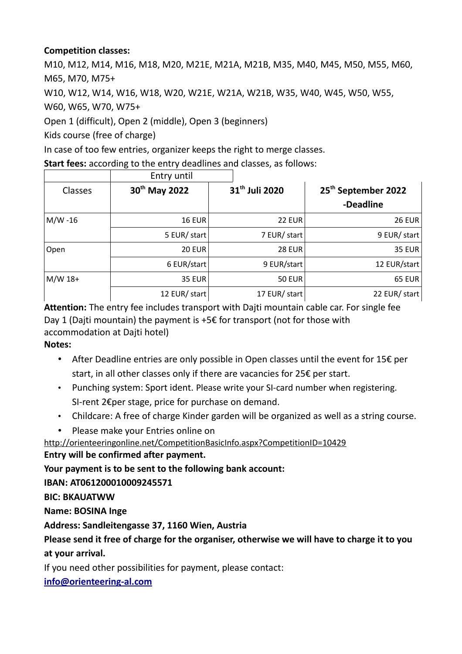### **Competition classes:**

M10, M12, M14, M16, M18, M20, M21E, M21A, M21B, M35, M40, M45, M50, M55, M60, M65, M70, M75+

W10, W12, W14, W16, W18, W20, W21E, W21A, W21B, W35, W40, W45, W50, W55,

W60, W65, W70, W75+

Open 1 (difficult), Open 2 (middle), Open 3 (beginners)

Kids course (free of charge)

In case of too few entries, organizer keeps the right to merge classes.

**Start fees:** according to the entry deadlines and classes, as follows:

|            | ENTY UNTIL                |                            |                                 |
|------------|---------------------------|----------------------------|---------------------------------|
| Classes    | 30 <sup>th</sup> May 2022 | 31 <sup>th</sup> Juli 2020 | 25 <sup>th</sup> September 2022 |
|            |                           |                            | -Deadline                       |
| $M/W - 16$ | <b>16 EUR</b>             | <b>22 EUR</b>              | <b>26 EUR</b>                   |
|            | 5 EUR/ start              | 7 EUR/ start               | 9 EUR/ start                    |
| Open       | <b>20 EUR</b>             | <b>28 EUR</b>              | <b>35 EUR</b>                   |
|            | 6 EUR/start               | 9 EUR/start                | 12 EUR/start                    |
| $M/W$ 18+  | <b>35 EUR</b>             | <b>50 EUR</b>              | <b>65 EUR</b>                   |
|            | 12 EUR/ start             | 17 EUR/ start              | 22 EUR/ start                   |

Entry until

**Attention:** The entry fee includes transport with Dajti mountain cable car. For single fee Day 1 (Dajti mountain) the payment is +5€ for transport (not for those with accommodation at Dajti hotel)

**Notes:**

- After Deadline entries are only possible in Open classes until the event for 15€ per start, in all other classes only if there are vacancies for 25€ per start.
- Punching system: Sport ident. Please write your SI-card number when registering. SI-rent 2€per stage, price for purchase on demand.
- Childcare: A free of charge Kinder garden will be organized as well as a string course.
- Please make your Entries online on

<http://orienteeringonline.net/CompetitionBasicInfo.aspx?CompetitionID=10429>

**Entry will be confirmed after payment.**

**Your payment is to be sent to the following bank account:**

**IBAN: AT061200010009245571**

**BIC: BKAUATWW**

**Name: BOSINA Inge**

**Address: Sandleitengasse 37, 1160 Wien, Austria**

**Please send it free of charge for the organiser, otherwise we will have to charge it to you at your arrival.**

If you need other possibilities for payment, please contact:

**[info@orienteering-al.com](mailto:info@orienteering-al.com)**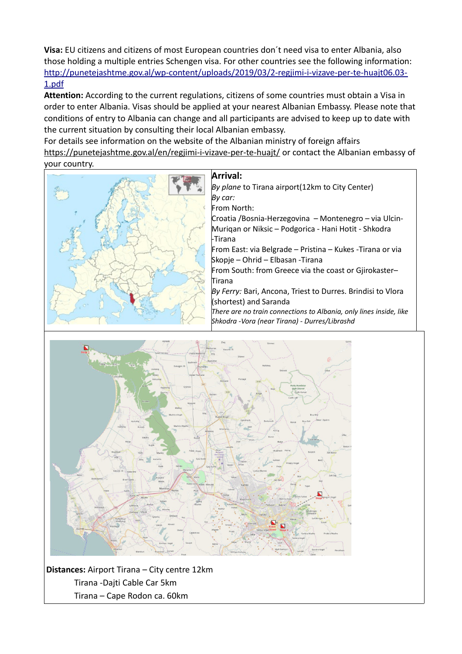**Visa:** EU citizens and citizens of most European countries don´t need visa to enter Albania, also those holding a multiple entries Schengen visa. For other countries see the following information: [http://punetejashtme.gov.al/wp-content/uploads/2019/03/2-regjimi-i-vizave-per-te-huajt06.03-](https://punetejashtme.gov.al/wp-content/uploads/2022/01/3-VISA-REGIME-FOR-FOREIGN-CITIZNES-26.11.2021.pdf) [1.pdf](https://punetejashtme.gov.al/wp-content/uploads/2022/01/3-VISA-REGIME-FOR-FOREIGN-CITIZNES-26.11.2021.pdf)

**Attention:** According to the current regulations, citizens of some countries must obtain a Visa in order to enter Albania. Visas should be applied at your nearest Albanian Embassy. Please note that conditions of entry to Albania can change and all participants are advised to keep up to date with the current situation by consulting their local Albanian embassy.

For details see information on the website of the Albanian ministry of foreign affairs <https://punetejashtme.gov.al/en/regjimi-i-vizave-per-te-huajt/>or contact the Albanian embassy of your country.



**Arrival:**  *By plane* to Tirana airport(12km to City Center) *By car:* From North: Croatia /Bosnia-Herzegovina – Montenegro – via Ulcin-Muriqan or Niksic – Podgorica - Hani Hotit - Shkodra -Tirana From East: via Belgrade – Pristina – Kukes -Tirana or via Skopje – Ohrid – Elbasan -Tirana From South: from Greece via the coast or Giirokaster– Tirana *By Ferry:* Bari, Ancona, Triest to Durres. Brindisi to Vlora (shortest) and Saranda *There are no train connections to Albania, only lines inside, like Shkodra -Vora (near Tirana) - Durres/Librashd*



**Distances:** Airport Tirana – City centre 12km Tirana -Dajti Cable Car 5km Tirana – Cape Rodon ca. 60km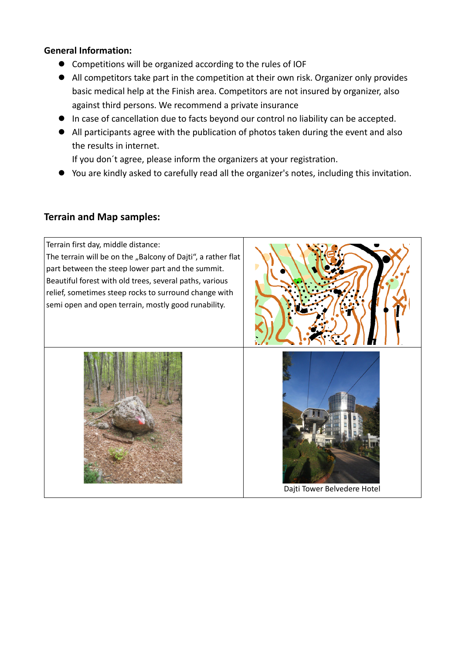#### **General Information:**

- Competitions will be organized according to the rules of IOF
- All competitors take part in the competition at their own risk. Organizer only provides basic medical help at the Finish area. Competitors are not insured by organizer, also against third persons. We recommend a private insurance
- In case of cancellation due to facts beyond our control no liability can be accepted.
- All participants agree with the publication of photos taken during the event and also the results in internet.

If you don´t agree, please inform the organizers at your registration.

You are kindly asked to carefully read all the organizer's notes, including this invitation.

#### **Terrain and Map samples:**

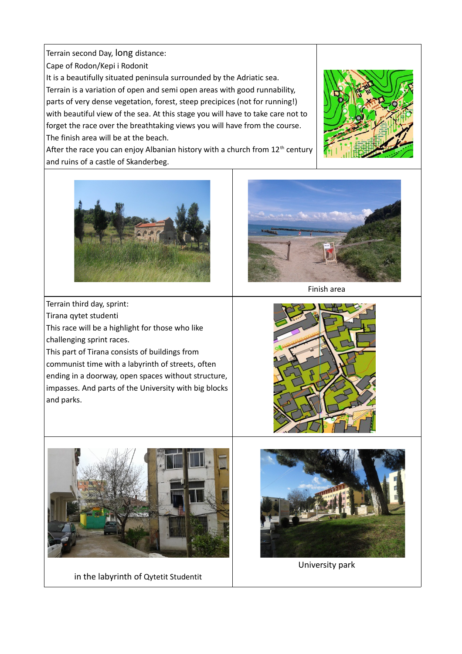Terrain second Day, long distance:

Cape of Rodon/Kepi i Rodonit

It is a beautifully situated peninsula surrounded by the Adriatic sea. Terrain is a variation of open and semi open areas with good runnability, parts of very dense vegetation, forest, steep precipices (not for running!) with beautiful view of the sea. At this stage you will have to take care not to forget the race over the breathtaking views you will have from the course. The finish area will be at the beach.

After the race you can enjoy Albanian history with a church from  $12<sup>th</sup>$  century and ruins of a castle of Skanderbeg.



Terrain third day, sprint: Tirana qytet studenti This race will be a highlight for those who like challenging sprint races. This part of Tirana consists of buildings from

communist time with a labyrinth of streets, often ending in a doorway, open spaces without structure, impasses. And parts of the University with big blocks and parks.





in the labyrinth of Qytetit Studentit



University park



Finish area